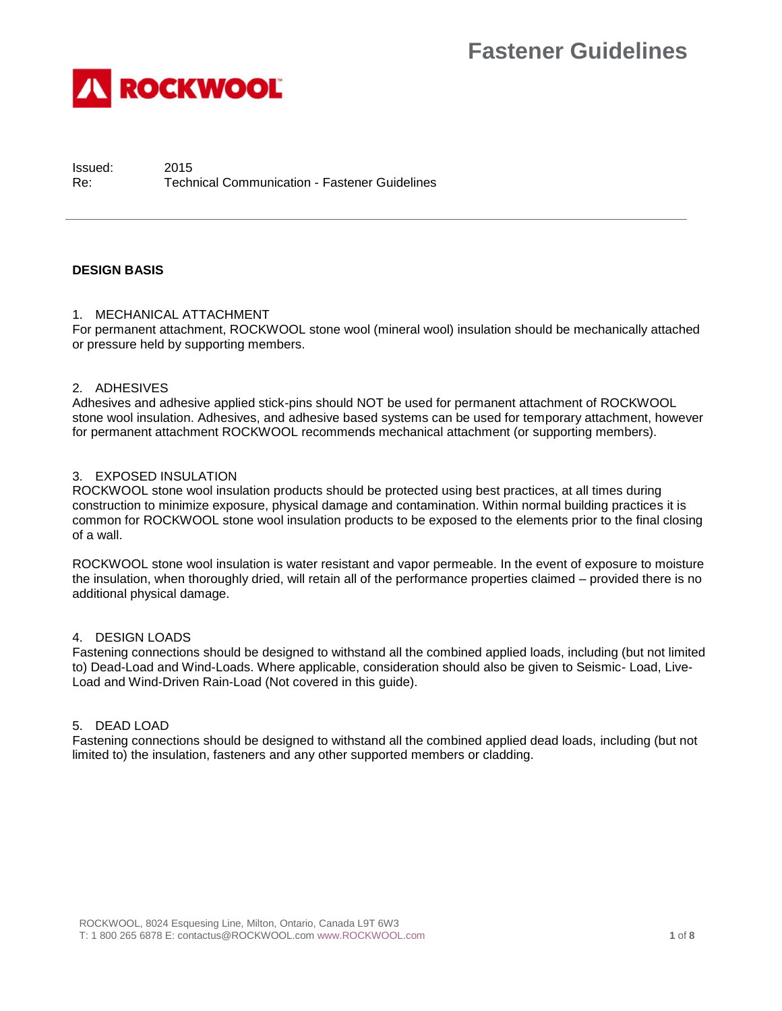

Issued: 2015 Re: Technical Communication - Fastener Guidelines

# **DESIGN BASIS**

# 1. MECHANICAL ATTACHMENT

For permanent attachment, ROCKWOOL stone wool (mineral wool) insulation should be mechanically attached or pressure held by supporting members.

## 2. ADHESIVES

Adhesives and adhesive applied stick-pins should NOT be used for permanent attachment of ROCKWOOL stone wool insulation. Adhesives, and adhesive based systems can be used for temporary attachment, however for permanent attachment ROCKWOOL recommends mechanical attachment (or supporting members).

## 3. EXPOSED INSULATION

ROCKWOOL stone wool insulation products should be protected using best practices, at all times during construction to minimize exposure, physical damage and contamination. Within normal building practices it is common for ROCKWOOL stone wool insulation products to be exposed to the elements prior to the final closing of a wall.

ROCKWOOL stone wool insulation is water resistant and vapor permeable. In the event of exposure to moisture the insulation, when thoroughly dried, will retain all of the performance properties claimed – provided there is no additional physical damage.

## 4. DESIGN LOADS

Fastening connections should be designed to withstand all the combined applied loads, including (but not limited to) Dead-Load and Wind-Loads. Where applicable, consideration should also be given to Seismic- Load, Live-Load and Wind-Driven Rain-Load (Not covered in this guide).

## 5. DEAD LOAD

Fastening connections should be designed to withstand all the combined applied dead loads, including (but not limited to) the insulation, fasteners and any other supported members or cladding.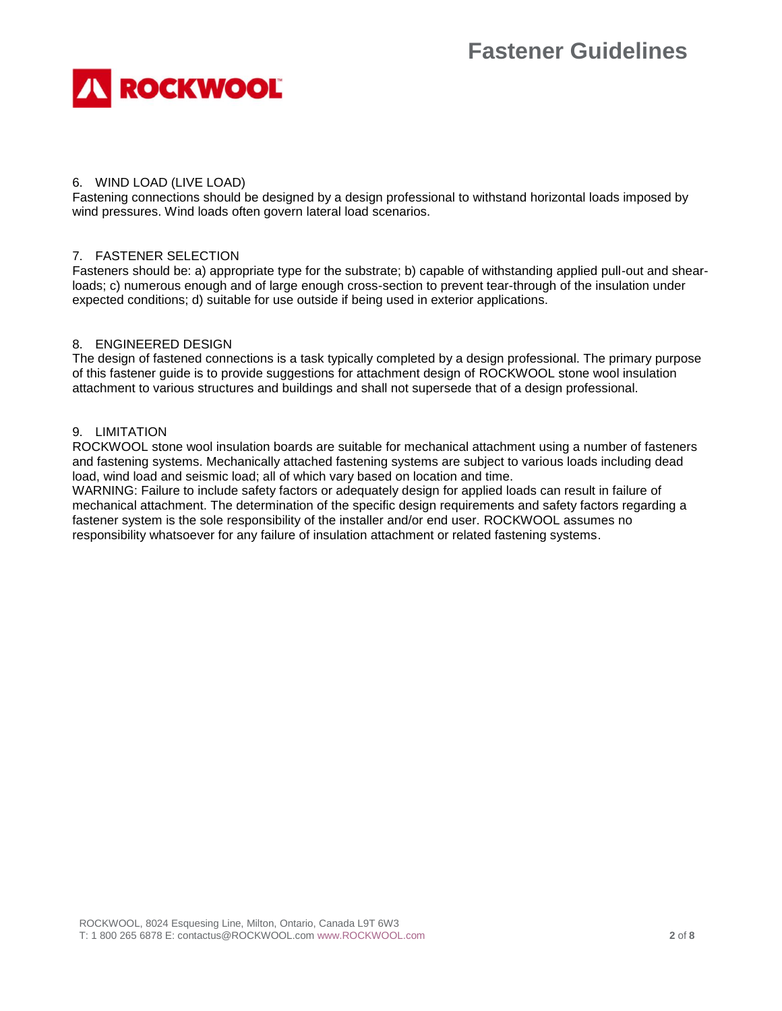

# 6. WIND LOAD (LIVE LOAD)

Fastening connections should be designed by a design professional to withstand horizontal loads imposed by wind pressures. Wind loads often govern lateral load scenarios.

# 7. FASTENER SELECTION

Fasteners should be: a) appropriate type for the substrate; b) capable of withstanding applied pull-out and shearloads; c) numerous enough and of large enough cross-section to prevent tear-through of the insulation under expected conditions; d) suitable for use outside if being used in exterior applications.

# 8. ENGINEERED DESIGN

The design of fastened connections is a task typically completed by a design professional. The primary purpose of this fastener guide is to provide suggestions for attachment design of ROCKWOOL stone wool insulation attachment to various structures and buildings and shall not supersede that of a design professional.

# 9. LIMITATION

ROCKWOOL stone wool insulation boards are suitable for mechanical attachment using a number of fasteners and fastening systems. Mechanically attached fastening systems are subject to various loads including dead load, wind load and seismic load; all of which vary based on location and time.

WARNING: Failure to include safety factors or adequately design for applied loads can result in failure of mechanical attachment. The determination of the specific design requirements and safety factors regarding a fastener system is the sole responsibility of the installer and/or end user. ROCKWOOL assumes no responsibility whatsoever for any failure of insulation attachment or related fastening systems.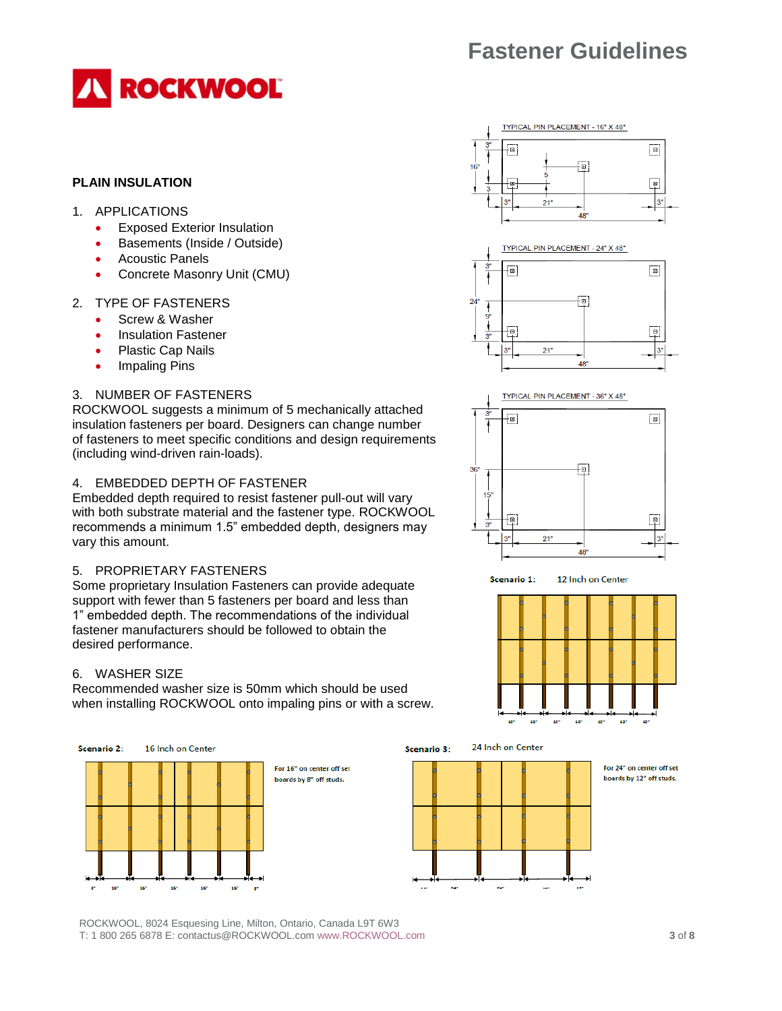

# **PLAIN INSULATION**

- 1. APPLICATIONS
	- Exposed Exterior Insulation
	- Basements (Inside / Outside)
	- Acoustic Panels
	- Concrete Masonry Unit (CMU)

#### 2. TYPE OF FASTENERS

- Screw & Washer
- Insulation Fastener
- Plastic Cap Nails
- Impaling Pins

# 3. NUMBER OF FASTENERS

ROCKWOOL suggests a minimum of 5 mechanically attached insulation fasteners per board. Designers can change number of fasteners to meet specific conditions and design requirements (including wind-driven rain-loads).

#### 4. EMBEDDED DEPTH OF FASTENER

Embedded depth required to resist fastener pull-out will vary with both substrate material and the fastener type. ROCKWOOL recommends a minimum 1.5" embedded depth, designers may vary this amount.

# 5. PROPRIETARY FASTENERS

Some proprietary Insulation Fasteners can provide adequate support with fewer than 5 fasteners per board and less than 1" embedded depth. The recommendations of the individual fastener manufacturers should be followed to obtain the desired performance.

#### 6. WASHER SIZE

Recommended washer size is 50mm which should be used when installing ROCKWOOL onto impaling pins or with a screw.



For 16" on center off set boards by 8" off studs.









ROCKWOOL, 8024 Esquesing Line, Milton, Ontario, Canada L9T 6W3 T: 1 800 265 6878 E: contactus@ROCKWOOL.co[m www.ROCKWOOL.com](http://www.rockwool.com/) **3** of **8**







12 Inch on Center Scenario 1:

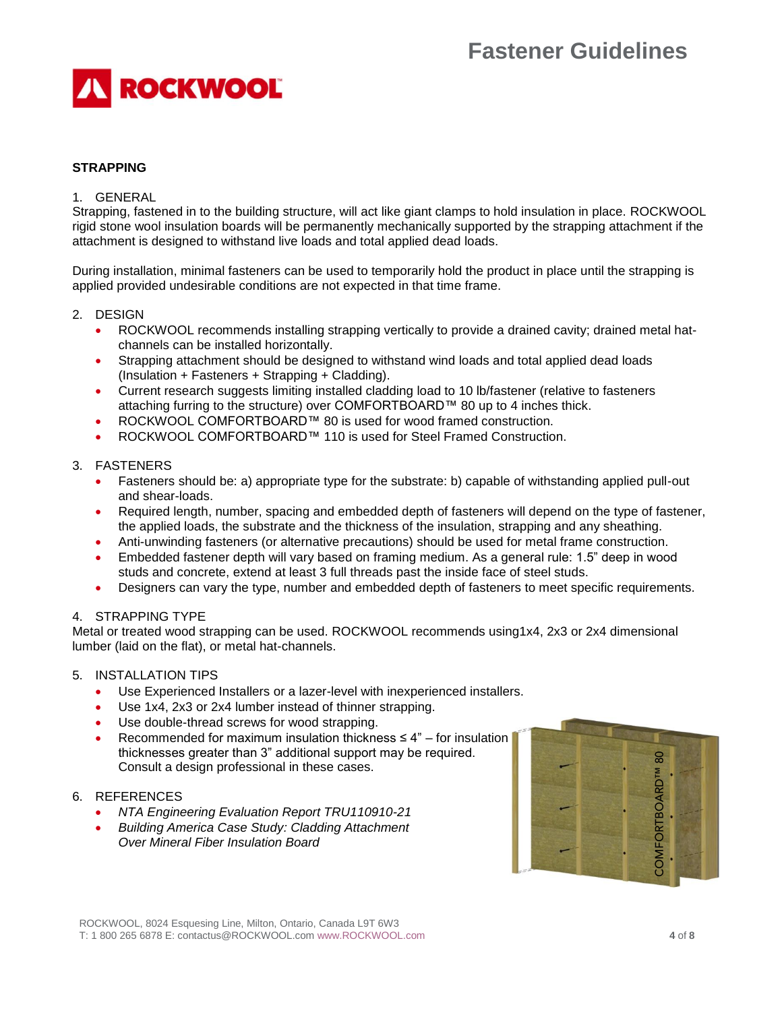

# **STRAPPING**

## 1. GENERAL

Strapping, fastened in to the building structure, will act like giant clamps to hold insulation in place. ROCKWOOL rigid stone wool insulation boards will be permanently mechanically supported by the strapping attachment if the attachment is designed to withstand live loads and total applied dead loads.

During installation, minimal fasteners can be used to temporarily hold the product in place until the strapping is applied provided undesirable conditions are not expected in that time frame.

## 2. DESIGN

- ROCKWOOL recommends installing strapping vertically to provide a drained cavity; drained metal hatchannels can be installed horizontally.
- Strapping attachment should be designed to withstand wind loads and total applied dead loads (Insulation + Fasteners + Strapping + Cladding).
- Current research suggests limiting installed cladding load to 10 lb/fastener (relative to fasteners attaching furring to the structure) over COMFORTBOARD™ 80 up to 4 inches thick.
- ROCKWOOL COMFORTBOARD™ 80 is used for wood framed construction.
- ROCKWOOL COMFORTBOARD™ 110 is used for Steel Framed Construction.

#### 3. FASTENERS

- Fasteners should be: a) appropriate type for the substrate: b) capable of withstanding applied pull-out and shear-loads.
- Required length, number, spacing and embedded depth of fasteners will depend on the type of fastener, the applied loads, the substrate and the thickness of the insulation, strapping and any sheathing.
- Anti-unwinding fasteners (or alternative precautions) should be used for metal frame construction.
- Embedded fastener depth will vary based on framing medium. As a general rule: 1.5" deep in wood studs and concrete, extend at least 3 full threads past the inside face of steel studs.
- Designers can vary the type, number and embedded depth of fasteners to meet specific requirements.

## 4. STRAPPING TYPE

Metal or treated wood strapping can be used. ROCKWOOL recommends using1x4, 2x3 or 2x4 dimensional lumber (laid on the flat), or metal hat-channels.

#### 5. INSTALLATION TIPS

- Use Experienced Installers or a lazer-level with inexperienced installers.
- Use 1x4, 2x3 or 2x4 lumber instead of thinner strapping.
- Use double-thread screws for wood strapping.
- Recommended for maximum insulation thickness  $\leq 4$ " for insulation thicknesses greater than 3" additional support may be required. Consult a design professional in these cases.

#### 6. REFERENCES

- *NTA Engineering Evaluation Report TRU110910-21*
- *Building America Case Study: Cladding Attachment Over Mineral Fiber Insulation Board*

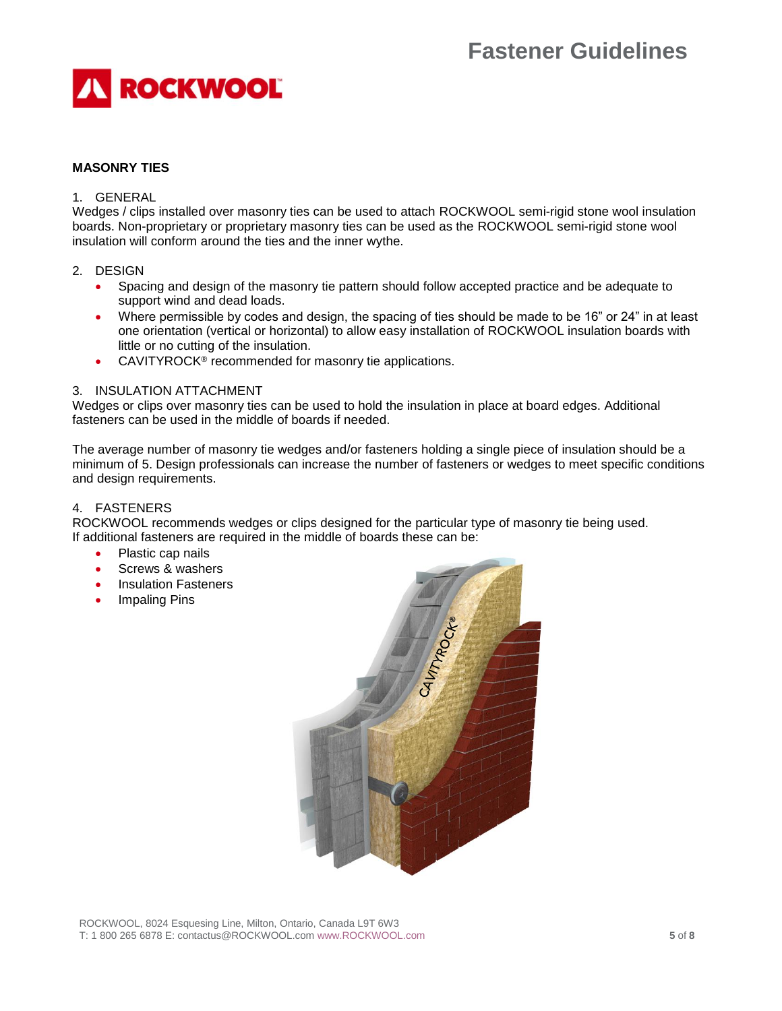

# **MASONRY TIES**

# 1. GENERAL

Wedges / clips installed over masonry ties can be used to attach ROCKWOOL semi-rigid stone wool insulation boards. Non-proprietary or proprietary masonry ties can be used as the ROCKWOOL semi-rigid stone wool insulation will conform around the ties and the inner wythe.

## 2. DESIGN

- Spacing and design of the masonry tie pattern should follow accepted practice and be adequate to support wind and dead loads.
- Where permissible by codes and design, the spacing of ties should be made to be 16" or 24" in at least one orientation (vertical or horizontal) to allow easy installation of ROCKWOOL insulation boards with little or no cutting of the insulation.
- CAVITYROCK® recommended for masonry tie applications.

#### 3. INSULATION ATTACHMENT

Wedges or clips over masonry ties can be used to hold the insulation in place at board edges. Additional fasteners can be used in the middle of boards if needed.

The average number of masonry tie wedges and/or fasteners holding a single piece of insulation should be a minimum of 5. Design professionals can increase the number of fasteners or wedges to meet specific conditions and design requirements.

## 4. FASTENERS

ROCKWOOL recommends wedges or clips designed for the particular type of masonry tie being used. If additional fasteners are required in the middle of boards these can be:

- Plastic cap nails
- Screws & washers
- Insulation Fasteners
- Impaling Pins

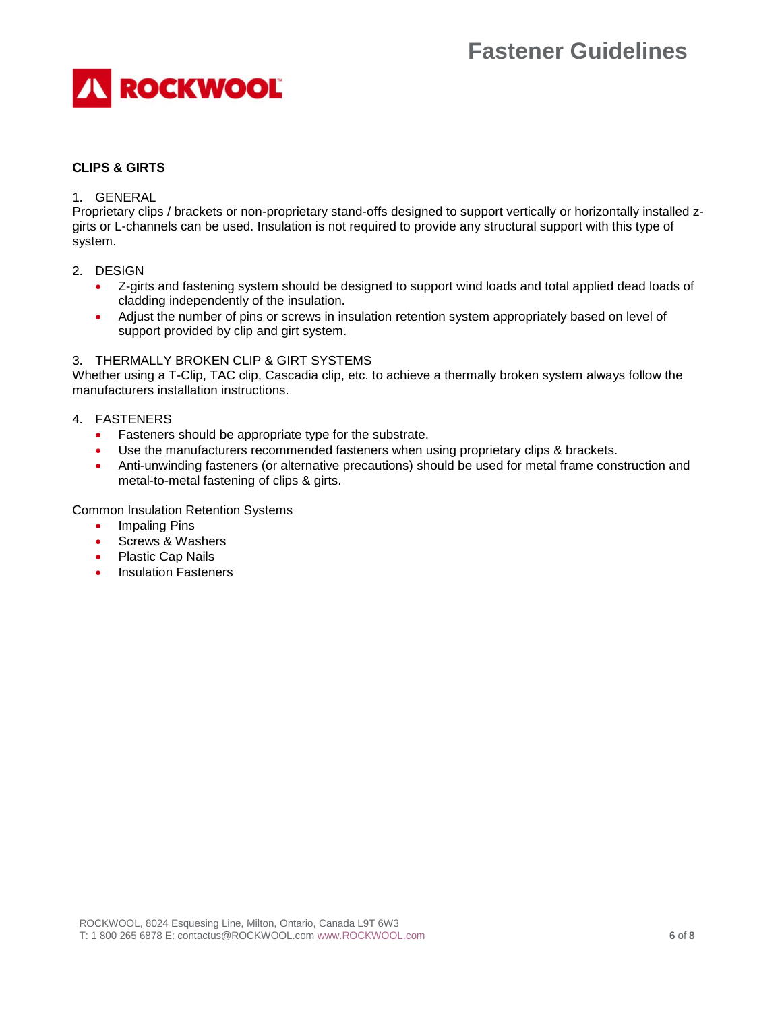

# **CLIPS & GIRTS**

## 1. GENERAL

Proprietary clips / brackets or non-proprietary stand-offs designed to support vertically or horizontally installed zgirts or L-channels can be used. Insulation is not required to provide any structural support with this type of system.

- 2. DESIGN
	- Z-girts and fastening system should be designed to support wind loads and total applied dead loads of cladding independently of the insulation.
	- Adjust the number of pins or screws in insulation retention system appropriately based on level of support provided by clip and girt system.

## 3. THERMALLY BROKEN CLIP & GIRT SYSTEMS

Whether using a T-Clip, TAC clip, Cascadia clip, etc. to achieve a thermally broken system always follow the manufacturers installation instructions.

## 4. FASTENERS

- Fasteners should be appropriate type for the substrate.
- Use the manufacturers recommended fasteners when using proprietary clips & brackets.
- Anti-unwinding fasteners (or alternative precautions) should be used for metal frame construction and metal-to-metal fastening of clips & girts.

Common Insulation Retention Systems

- Impaling Pins
- Screws & Washers
- Plastic Cap Nails
- Insulation Fasteners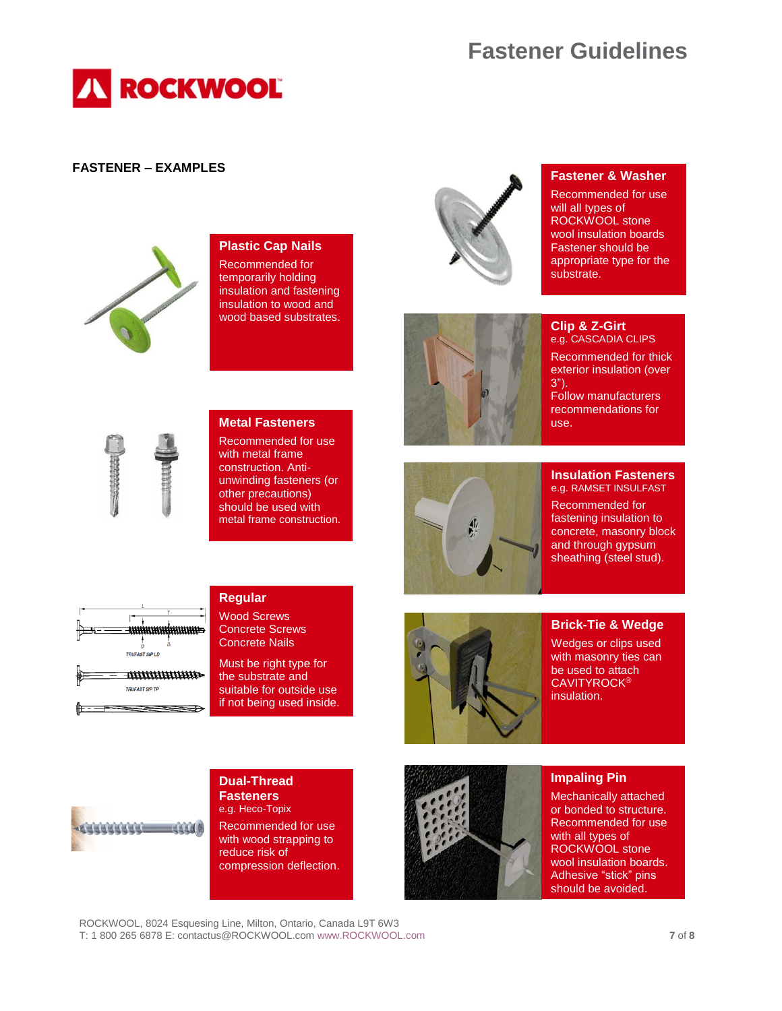

# **FASTENER – EXAMPLES**



# **Plastic Cap Nails**

Recommended for temporarily holding insulation and fastening insulation to wood and wood based substrates.



# **Fastener & Washer**

Recommended for use will all types of ROCKWOOL stone wool insulation boards Fastener should be appropriate type for the substrate.



#### **Clip & Z-Girt** e.g. CASCADIA CLIPS

Recommended for thick exterior insulation (over 3"). Follow manufacturers

recommendations for use.



# **Metal Fasteners**

Recommended for use with metal frame construction. Antiunwinding fasteners (or other precautions) should be used with metal frame construction.



#### **Insulation Fasteners** e.g. RAMSET INSULFAST

Recommended for fastening insulation to concrete, masonry block and through gypsum sheathing (steel stud).



# **Regular**

Wood Screws Concrete Screws Concrete Nails

Must be right type for the substrate and suitable for outside use if not being used inside.



# **Brick-Tie & Wedge** Wedges or clips used

with masonry ties can be used to attach **CAVITYROCK®** insulation.



#### **Dual-Thread Fasteners** e.g. Heco-Topix Recommended for use with wood strapping to

reduce risk of compression deflection.



#### **Impaling Pin**

Mechanically attached or bonded to structure. Recommended for use with all types of ROCKWOOL stone wool insulation boards. Adhesive "stick" pins should be avoided.

ROCKWOOL, 8024 Esquesing Line, Milton, Ontario, Canada L9T 6W3 T: 1 800 265 6878 E: contactus@ROCKWOOL.co[m www.ROCKWOOL.com](http://www.rockwool.com/) **7** of **8**